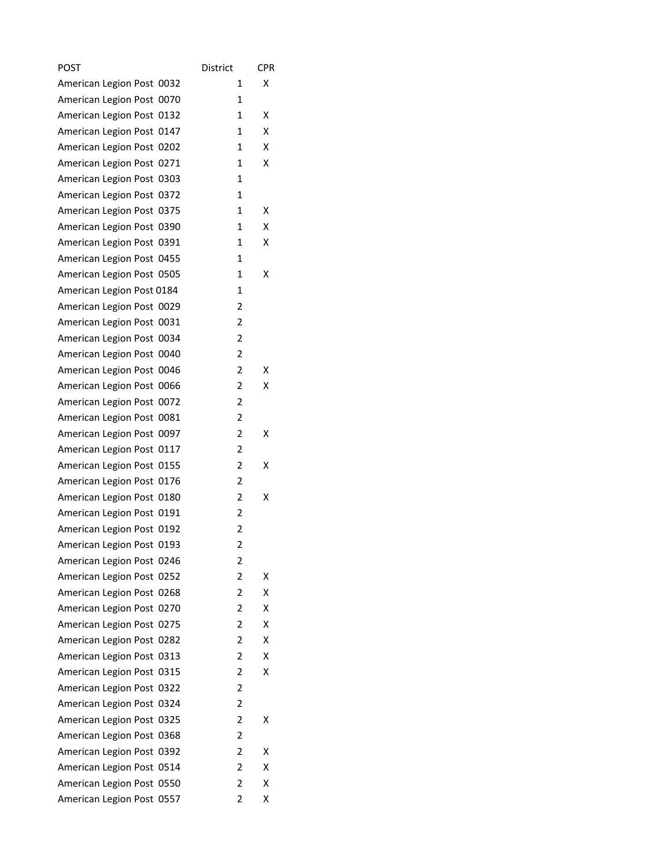| <b>POST</b>                  | District       | <b>CPR</b> |
|------------------------------|----------------|------------|
| American Legion Post 0032    | 1              | x          |
| American Legion Post 0070    | 1              |            |
| American Legion Post 0132    | 1              | Χ          |
| American Legion Post 0147    | 1              | x          |
| American Legion Post 0202    | 1              | х          |
| American Legion Post 0271    | 1              | x          |
| American Legion Post 0303    | 1              |            |
| American Legion Post 0372    | $\mathbf{1}$   |            |
| American Legion Post 0375    | 1              | х          |
| American Legion Post 0390    | 1              | х          |
| American Legion Post 0391    | $\mathbf{1}$   | х          |
| American Legion Post 0455    | 1              |            |
| American Legion Post 0505    | $\mathbf{1}$   | Χ          |
| American Legion Post 0184    | 1              |            |
| American Legion Post 0029    | 2              |            |
| American Legion Post 0031    | 2              |            |
| American Legion Post 0034    | 2              |            |
| American Legion Post 0040    | 2              |            |
| American Legion Post 0046    | 2              | Χ          |
| American Legion Post 0066    | $\overline{2}$ | х          |
| American Legion Post 0072    | 2              |            |
| American Legion Post 0081    | 2              |            |
| American Legion Post 0097    | 2              | Χ          |
| American Legion Post 0117    | 2              |            |
| American Legion Post 0155    | $\overline{2}$ | x          |
| American Legion Post 0176    | 2              |            |
| American Legion Post 0180    | 2              | Χ          |
| American Legion Post 0191    | 2              |            |
| American Legion Post 0192    | $\overline{c}$ |            |
| American Legion Post 0193    | $\overline{c}$ |            |
| American Legion Post 0246    | 2              |            |
| American Legion Post 0252    | 2              | Χ          |
| American Legion Post 0268    | 2              | x          |
| American Legion Post 0270    | 2              | Χ          |
| American Legion Post 0275    | 2              | х          |
| American Legion Post 0282    | 2              | х          |
| American Legion Post 0313    | 2              | Χ          |
| American Legion Post 0315    | 2              | х          |
| American Legion Post 0322    | 2              |            |
| American Legion Post 0324    | 2              |            |
| American Legion Post 0325    | 2              | Χ          |
| American Legion Post 0368    | 2              |            |
| American Legion Post<br>0392 | 2              | х          |
| American Legion Post 0514    | 2              | Χ          |
| American Legion Post 0550    | 2              | Χ          |
| American Legion Post 0557    | 2              | х          |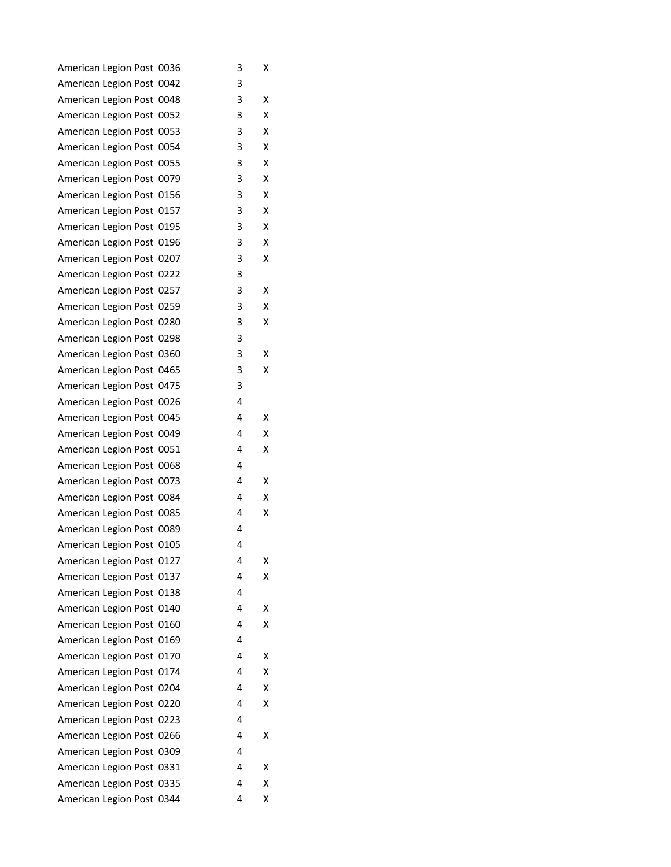| American Legion Post 0036 | з | Χ |
|---------------------------|---|---|
| American Legion Post 0042 | з |   |
| American Legion Post 0048 | 3 | Χ |
| American Legion Post 0052 | 3 | х |
| American Legion Post 0053 | 3 | X |
| American Legion Post 0054 | 3 | х |
| American Legion Post 0055 | 3 | х |
| American Legion Post 0079 | 3 | X |
| American Legion Post 0156 | 3 | X |
| American Legion Post 0157 | 3 | X |
| American Legion Post 0195 | 3 | х |
| American Legion Post 0196 | 3 | х |
| American Legion Post 0207 | 3 | х |
| American Legion Post 0222 | 3 |   |
| American Legion Post 0257 | з | Χ |
| American Legion Post 0259 | 3 | Χ |
| American Legion Post 0280 | 3 | X |
| American Legion Post 0298 | 3 |   |
| American Legion Post 0360 | 3 | Χ |
| American Legion Post 0465 | 3 | Χ |
| American Legion Post 0475 | 3 |   |
| American Legion Post 0026 | 4 |   |
| American Legion Post 0045 | 4 | х |
| American Legion Post 0049 | 4 | X |
| American Legion Post 0051 | 4 | Χ |
| American Legion Post 0068 | 4 |   |
| American Legion Post 0073 | 4 | x |
| American Legion Post 0084 | 4 | X |
| American Legion Post 0085 | 4 | Χ |
| American Legion Post 0089 | 4 |   |
| American Legion Post 0105 | 4 |   |
| American Legion Post 0127 | 4 | Χ |
| American Legion Post 0137 | 4 | х |
| American Legion Post 0138 | 4 |   |
| American Legion Post 0140 | 4 | x |
| American Legion Post 0160 | 4 | Χ |
| American Legion Post 0169 | 4 |   |
| American Legion Post 0170 | 4 | Χ |
| American Legion Post 0174 | 4 | Χ |
| American Legion Post 0204 | 4 | X |
| American Legion Post 0220 | 4 | Χ |
| American Legion Post 0223 | 4 |   |
| American Legion Post 0266 | 4 | х |
| American Legion Post 0309 | 4 |   |
| American Legion Post 0331 | 4 | х |
| American Legion Post 0335 | 4 | Χ |
| American Legion Post 0344 | 4 | Χ |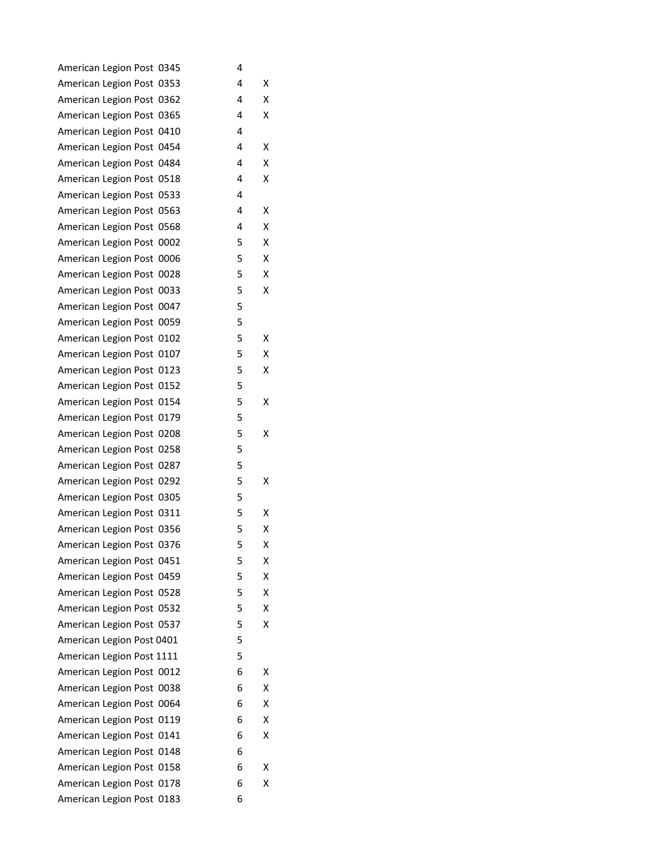| American Legion Post 0345 | 4 |   |
|---------------------------|---|---|
| American Legion Post 0353 | 4 | Χ |
| American Legion Post 0362 | 4 | X |
| American Legion Post 0365 | 4 | x |
| American Legion Post 0410 | 4 |   |
| American Legion Post 0454 | 4 | х |
| American Legion Post 0484 | 4 | х |
| American Legion Post 0518 | 4 | x |
| American Legion Post 0533 | 4 |   |
| American Legion Post 0563 | 4 | Χ |
| American Legion Post 0568 | 4 | Χ |
| American Legion Post 0002 | 5 | Χ |
| American Legion Post 0006 | 5 | X |
| American Legion Post 0028 | 5 | X |
| American Legion Post 0033 | 5 | x |
| American Legion Post 0047 | 5 |   |
| American Legion Post 0059 | 5 |   |
| American Legion Post 0102 | 5 | x |
| American Legion Post 0107 | 5 | X |
| American Legion Post 0123 | 5 | х |
| American Legion Post 0152 | 5 |   |
| American Legion Post 0154 | 5 | x |
| American Legion Post 0179 | 5 |   |
| American Legion Post 0208 | 5 | Χ |
| American Legion Post 0258 | 5 |   |
| American Legion Post 0287 | 5 |   |
| American Legion Post 0292 | 5 | х |
| American Legion Post 0305 | 5 |   |
| American Legion Post 0311 | 5 | Χ |
| American Legion Post 0356 | 5 | х |
| American Legion Post 0376 | 5 | Χ |
| American Legion Post 0451 | 5 | Χ |
| American Legion Post 0459 | 5 | Χ |
| American Legion Post 0528 | 5 | X |
| American Legion Post 0532 | 5 | X |
| American Legion Post 0537 | 5 | Χ |
| American Legion Post 0401 | 5 |   |
| American Legion Post 1111 | 5 |   |
| American Legion Post 0012 | 6 | х |
| American Legion Post 0038 | 6 | X |
| American Legion Post 0064 | 6 | X |
| American Legion Post 0119 | 6 | Χ |
| American Legion Post 0141 | 6 | Χ |
| American Legion Post 0148 | 6 |   |
| American Legion Post 0158 | 6 | х |
| American Legion Post 0178 | 6 | Χ |
| American Legion Post 0183 | 6 |   |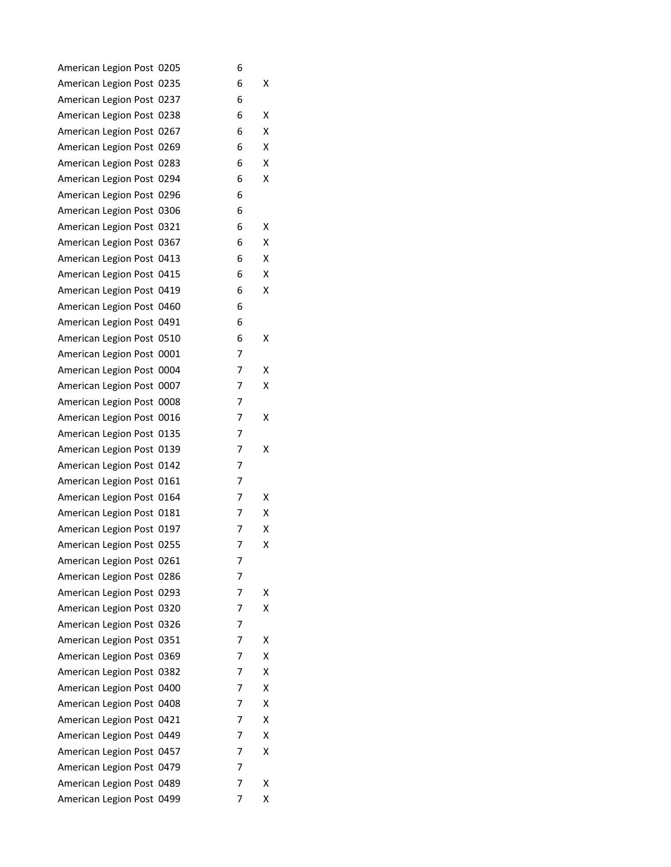| American Legion Post 0205 | 6 |   |
|---------------------------|---|---|
| American Legion Post 0235 | 6 | х |
| American Legion Post 0237 | 6 |   |
| American Legion Post 0238 | 6 | x |
| American Legion Post 0267 | 6 | Χ |
| American Legion Post 0269 | 6 | х |
| American Legion Post 0283 | 6 | x |
| American Legion Post 0294 | 6 | x |
| American Legion Post 0296 | 6 |   |
| American Legion Post 0306 | 6 |   |
| American Legion Post 0321 | 6 | х |
| American Legion Post 0367 | 6 | x |
| American Legion Post 0413 | 6 | x |
| American Legion Post 0415 | 6 | x |
| American Legion Post 0419 | 6 | x |
| American Legion Post 0460 | 6 |   |
| American Legion Post 0491 | 6 |   |
| American Legion Post 0510 | 6 | х |
| American Legion Post 0001 | 7 |   |
| American Legion Post 0004 | 7 | х |
| American Legion Post 0007 | 7 | x |
| American Legion Post 0008 | 7 |   |
| American Legion Post 0016 | 7 | Χ |
| American Legion Post 0135 | 7 |   |
| American Legion Post 0139 | 7 | х |
| American Legion Post 0142 | 7 |   |
| American Legion Post 0161 | 7 |   |
| American Legion Post 0164 | 7 | х |
| American Legion Post 0181 | 7 | Χ |
| American Legion Post 0197 | 7 | х |
| American Legion Post 0255 | 7 | Χ |
| American Legion Post 0261 | 7 |   |
| American Legion Post 0286 | 7 |   |
| American Legion Post 0293 | 7 | x |
| American Legion Post 0320 | 7 | x |
| American Legion Post 0326 | 7 |   |
| American Legion Post 0351 | 7 | х |
| American Legion Post 0369 | 7 | Χ |
| American Legion Post 0382 | 7 | x |
| American Legion Post 0400 | 7 | Χ |
| American Legion Post 0408 | 7 | Χ |
| American Legion Post 0421 | 7 | Χ |
| American Legion Post 0449 | 7 | x |
| American Legion Post 0457 | 7 | x |
| American Legion Post 0479 | 7 |   |
| American Legion Post 0489 | 7 | Χ |
| American Legion Post 0499 | 7 | х |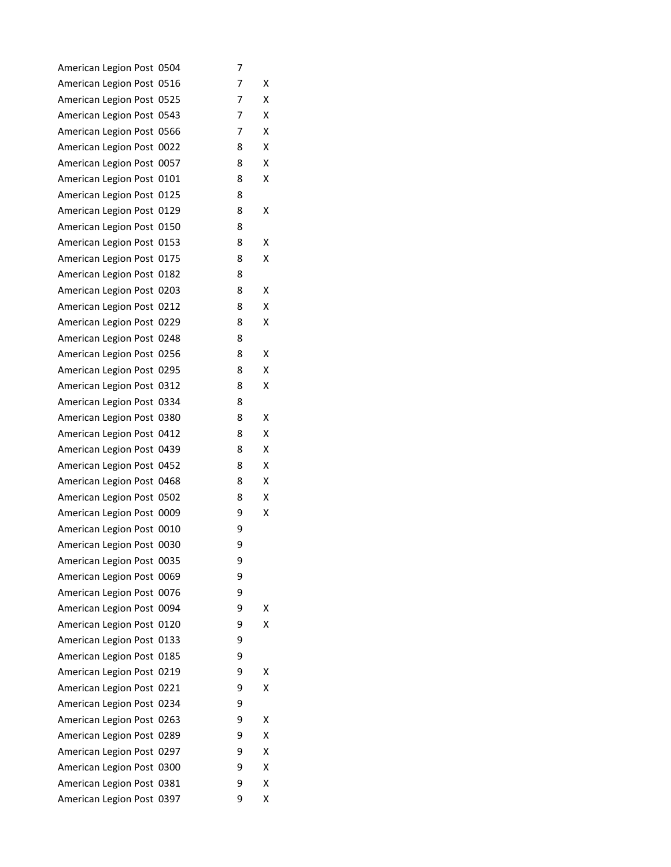| American Legion Post 0504    | 7 |   |
|------------------------------|---|---|
| American Legion Post 0516    | 7 | Χ |
| American Legion Post 0525    | 7 | Χ |
| American Legion Post 0543    | 7 | X |
| American Legion Post 0566    | 7 | X |
| American Legion Post 0022    | 8 | Χ |
| American Legion Post 0057    | 8 | х |
| American Legion Post 0101    | 8 | Χ |
| American Legion Post 0125    | 8 |   |
| American Legion Post 0129    | 8 | Χ |
| American Legion Post 0150    | 8 |   |
| American Legion Post 0153    | 8 | Χ |
| American Legion Post 0175    | 8 | Χ |
| American Legion Post 0182    | 8 |   |
| American Legion Post 0203    | 8 | Χ |
| American Legion Post 0212    | 8 | Χ |
| American Legion Post 0229    | 8 | X |
| American Legion Post 0248    | 8 |   |
| American Legion Post 0256    | 8 | Χ |
| American Legion Post 0295    | 8 | Χ |
| American Legion Post 0312    | 8 | Χ |
| American Legion Post 0334    | 8 |   |
| American Legion Post 0380    | 8 | Χ |
| American Legion Post 0412    | 8 | X |
| American Legion Post 0439    | 8 | Χ |
| American Legion Post 0452    | 8 | х |
| American Legion Post 0468    | 8 | X |
| American Legion Post 0502    | 8 | X |
| American Legion Post 0009    | 9 | Χ |
| American Legion Post 0010    | 9 |   |
| American Legion Post 0030    | 9 |   |
| American Legion Post 0035    | 9 |   |
| American Legion Post 0069    | 9 |   |
| American Legion Post 0076    | 9 |   |
| American Legion Post<br>0094 | 9 | x |
| American Legion Post 0120    | 9 | Χ |
| American Legion Post 0133    | 9 |   |
| American Legion Post 0185    | 9 |   |
| American Legion Post 0219    | 9 | х |
| American Legion Post<br>0221 | 9 | Χ |
| American Legion Post 0234    | 9 |   |
| American Legion Post 0263    | 9 | х |
| American Legion Post 0289    | 9 | Χ |
| American Legion Post 0297    | 9 | Χ |
| American Legion Post 0300    | 9 | X |
| American Legion Post 0381    | 9 | Χ |
| American Legion Post 0397    | 9 | Χ |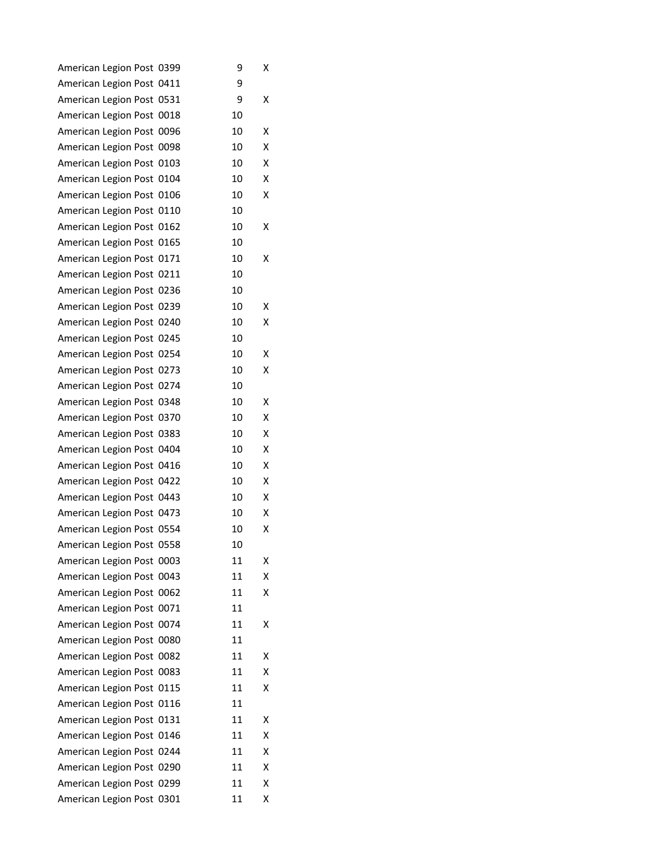| American Legion Post 0399 | 9  | Χ |
|---------------------------|----|---|
| American Legion Post 0411 | 9  |   |
| American Legion Post 0531 | 9  | x |
| American Legion Post 0018 | 10 |   |
| American Legion Post 0096 | 10 | Χ |
| American Legion Post 0098 | 10 | Χ |
| American Legion Post 0103 | 10 | Χ |
| American Legion Post 0104 | 10 | X |
| American Legion Post 0106 | 10 | x |
| American Legion Post 0110 | 10 |   |
| American Legion Post 0162 | 10 | х |
| American Legion Post 0165 | 10 |   |
| American Legion Post 0171 | 10 | x |
| American Legion Post 0211 | 10 |   |
| American Legion Post 0236 | 10 |   |
| American Legion Post 0239 | 10 | х |
| American Legion Post 0240 | 10 | x |
| American Legion Post 0245 | 10 |   |
| American Legion Post 0254 | 10 | Χ |
| American Legion Post 0273 | 10 | Χ |
| American Legion Post 0274 | 10 |   |
| American Legion Post 0348 | 10 | x |
| American Legion Post 0370 | 10 | Χ |
| American Legion Post 0383 | 10 | X |
| American Legion Post 0404 | 10 | Χ |
| American Legion Post 0416 | 10 | x |
| American Legion Post 0422 | 10 | X |
| American Legion Post 0443 | 10 | x |
| American Legion Post 0473 | 10 | x |
| American Legion Post 0554 | 10 | Χ |
| American Legion Post 0558 | 10 |   |
| American Legion Post 0003 | 11 | Χ |
| American Legion Post 0043 | 11 | х |
| American Legion Post 0062 | 11 | Χ |
| American Legion Post 0071 | 11 |   |
| American Legion Post 0074 | 11 | Χ |
| American Legion Post 0080 | 11 |   |
| American Legion Post 0082 | 11 | Χ |
| American Legion Post 0083 | 11 | x |
| American Legion Post 0115 | 11 | Χ |
| American Legion Post 0116 | 11 |   |
| American Legion Post 0131 | 11 | Χ |
| American Legion Post 0146 | 11 | Χ |
| American Legion Post 0244 | 11 | Χ |
| American Legion Post 0290 | 11 | X |
| American Legion Post 0299 | 11 | Χ |
| American Legion Post 0301 | 11 | Χ |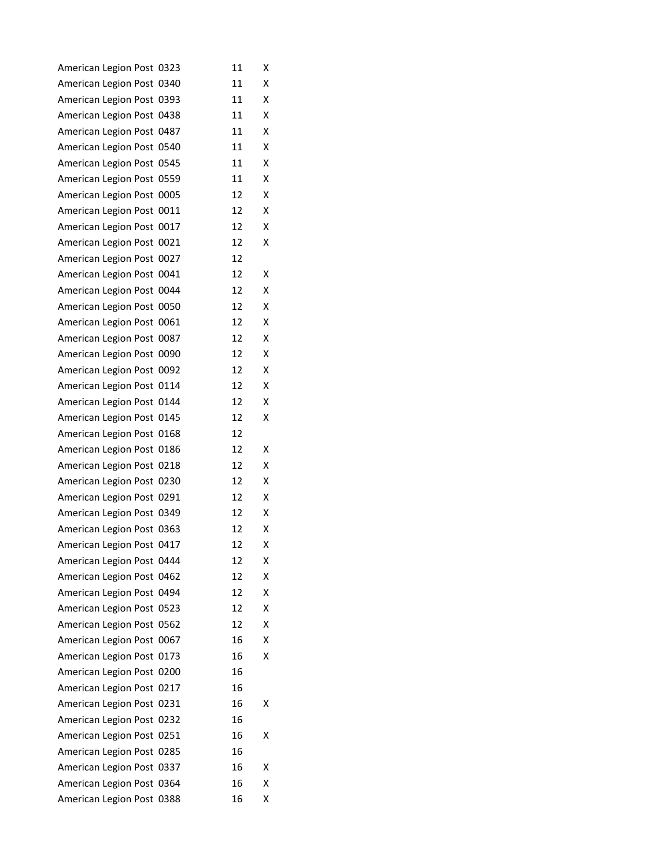| American Legion Post 0323 | 11 | Χ |
|---------------------------|----|---|
| American Legion Post 0340 | 11 | x |
| American Legion Post 0393 | 11 | x |
| American Legion Post 0438 | 11 | x |
| American Legion Post 0487 | 11 | Χ |
| American Legion Post 0540 | 11 | x |
| American Legion Post 0545 | 11 | x |
| American Legion Post 0559 | 11 | Χ |
| American Legion Post 0005 | 12 | x |
| American Legion Post 0011 | 12 | Χ |
| American Legion Post 0017 | 12 | x |
| American Legion Post 0021 | 12 | x |
| American Legion Post 0027 | 12 |   |
| American Legion Post 0041 | 12 | x |
| American Legion Post 0044 | 12 | Χ |
| American Legion Post 0050 | 12 | x |
| American Legion Post 0061 | 12 | x |
| American Legion Post 0087 | 12 | x |
| American Legion Post 0090 | 12 | x |
| American Legion Post 0092 | 12 | Χ |
| American Legion Post 0114 | 12 | x |
| American Legion Post 0144 | 12 | x |
| American Legion Post 0145 | 12 | x |
| American Legion Post 0168 | 12 |   |
| American Legion Post 0186 | 12 | х |
| American Legion Post 0218 | 12 | x |
| American Legion Post 0230 | 12 | Χ |
| American Legion Post 0291 | 12 | x |
| American Legion Post 0349 | 12 | x |
| American Legion Post 0363 | 12 | x |
| American Legion Post 0417 | 12 | Χ |
| American Legion Post 0444 | 12 | Χ |
| American Legion Post 0462 | 12 | х |
| American Legion Post 0494 | 12 | Χ |
| American Legion Post 0523 | 12 | x |
| American Legion Post 0562 | 12 | Χ |
| American Legion Post 0067 | 16 | Χ |
| American Legion Post 0173 | 16 | x |
| American Legion Post 0200 | 16 |   |
| American Legion Post 0217 | 16 |   |
| American Legion Post 0231 | 16 | х |
| American Legion Post 0232 | 16 |   |
| American Legion Post 0251 | 16 | х |
| American Legion Post 0285 | 16 |   |
| American Legion Post 0337 | 16 | х |
| American Legion Post 0364 | 16 | x |
| American Legion Post 0388 | 16 | х |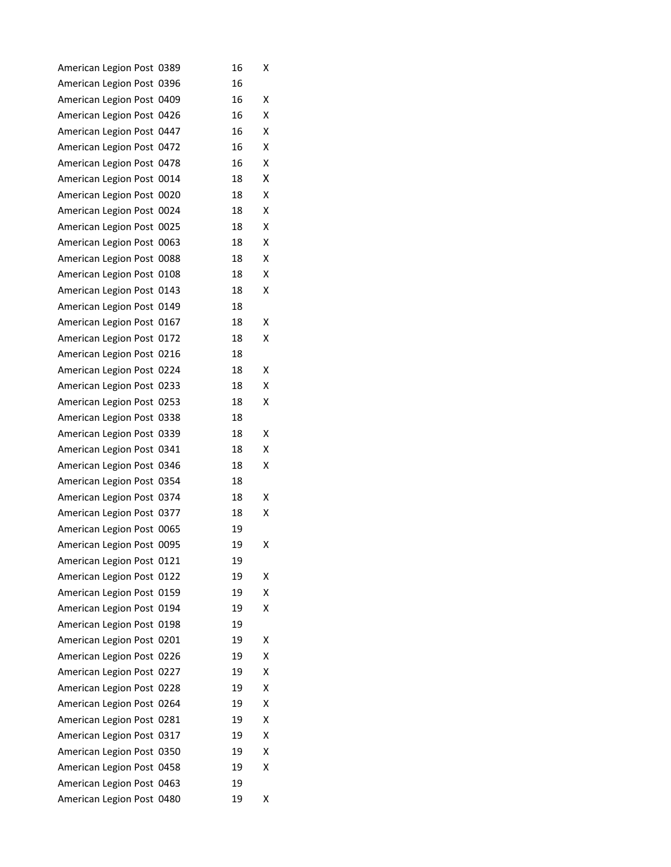| American Legion Post 0389 |      | 16 | Χ |
|---------------------------|------|----|---|
| American Legion Post 0396 |      | 16 |   |
| American Legion Post 0409 |      | 16 | Χ |
| American Legion Post 0426 |      | 16 | x |
| American Legion Post 0447 |      | 16 | Χ |
| American Legion Post 0472 |      | 16 | Χ |
| American Legion Post 0478 |      | 16 | x |
| American Legion Post 0014 |      | 18 | x |
| American Legion Post 0020 |      | 18 | x |
| American Legion Post 0024 |      | 18 | Χ |
| American Legion Post 0025 |      | 18 | Χ |
| American Legion Post 0063 |      | 18 | x |
| American Legion Post 0088 |      | 18 | x |
| American Legion Post 0108 |      | 18 | Χ |
| American Legion Post 0143 |      | 18 | x |
| American Legion Post 0149 |      | 18 |   |
| American Legion Post 0167 |      | 18 | x |
| American Legion Post 0172 |      | 18 | x |
| American Legion Post 0216 |      | 18 |   |
| American Legion Post 0224 |      | 18 | х |
| American Legion Post 0233 |      | 18 | x |
| American Legion Post 0253 |      | 18 | x |
| American Legion Post 0338 |      | 18 |   |
| American Legion Post 0339 |      | 18 | Χ |
| American Legion Post 0341 |      | 18 | x |
| American Legion Post 0346 |      | 18 | x |
| American Legion Post 0354 |      | 18 |   |
| American Legion Post 0374 |      | 18 | Χ |
| American Legion Post 0377 |      | 18 | x |
| American Legion Post 0065 |      | 19 |   |
| American Legion Post 0095 |      | 19 | Χ |
| American Legion Post 0121 |      | 19 |   |
| American Legion Post 0122 |      | 19 | х |
| American Legion Post 0159 |      | 19 | x |
| American Legion Post 0194 |      | 19 | x |
| American Legion Post 0198 |      | 19 |   |
| American Legion Post 0201 |      | 19 | Χ |
| American Legion Post 0226 |      | 19 | Χ |
| American Legion Post 0227 |      | 19 | Χ |
| American Legion Post      | 0228 | 19 | Χ |
| American Legion Post 0264 |      | 19 | Χ |
| American Legion Post 0281 |      | 19 | Χ |
| American Legion Post 0317 |      | 19 | Χ |
| American Legion Post 0350 |      | 19 | Χ |
| American Legion Post 0458 |      | 19 | Χ |
| American Legion Post 0463 |      | 19 |   |
| American Legion Post 0480 |      | 19 | х |